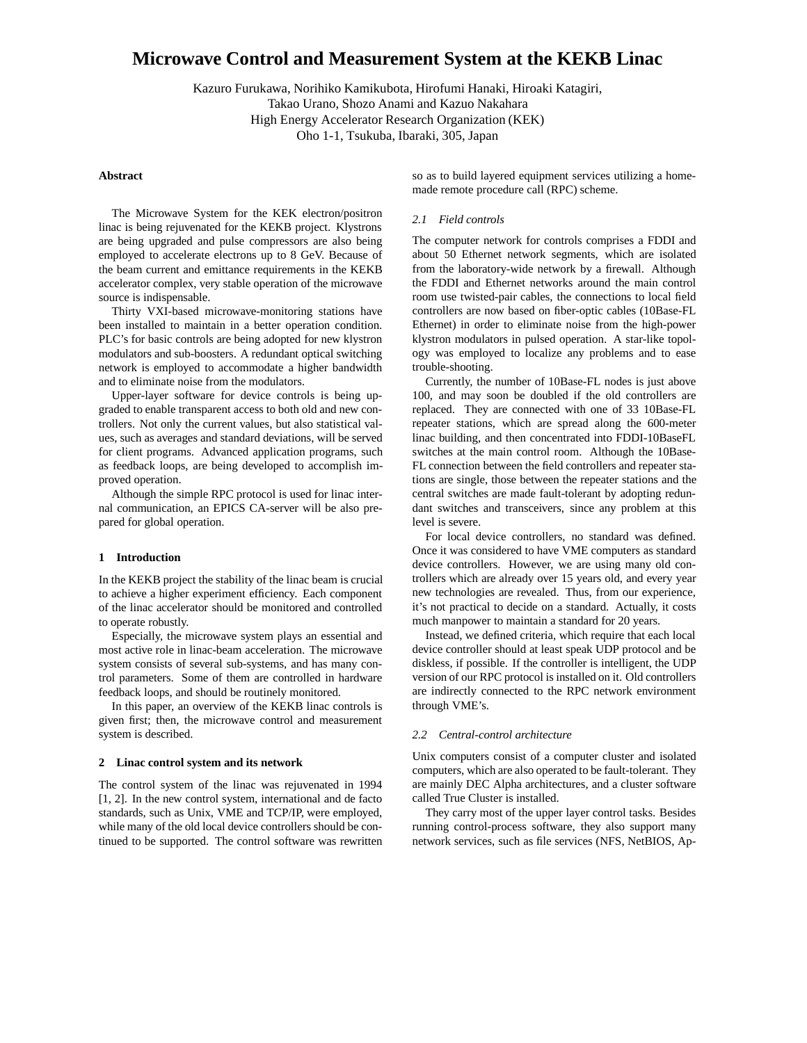# **Microwave Control and Measurement System at the KEKB Linac**

Kazuro Furukawa, Norihiko Kamikubota, Hirofumi Hanaki, Hiroaki Katagiri, Takao Urano, Shozo Anami and Kazuo Nakahara High Energy Accelerator Research Organization (KEK) Oho 1-1, Tsukuba, Ibaraki, 305, Japan

## **Abstract**

The Microwave System for the KEK electron/positron linac is being rejuvenated for the KEKB project. Klystrons are being upgraded and pulse compressors are also being employed to accelerate electrons up to 8 GeV. Because of the beam current and emittance requirements in the KEKB accelerator complex, very stable operation of the microwave source is indispensable.

Thirty VXI-based microwave-monitoring stations have been installed to maintain in a better operation condition. PLC's for basic controls are being adopted for new klystron modulators and sub-boosters. A redundant optical switching network is employed to accommodate a higher bandwidth and to eliminate noise from the modulators.

Upper-layer software for device controls is being upgraded to enable transparent access to both old and new controllers. Not only the current values, but also statistical values, such as averages and standard deviations, will be served for client programs. Advanced application programs, such as feedback loops, are being developed to accomplish improved operation.

Although the simple RPC protocol is used for linac internal communication, an EPICS CA-server will be also prepared for global operation.

# **1 Introduction**

In the KEKB project the stability of the linac beam is crucial to achieve a higher experiment efficiency. Each component of the linac accelerator should be monitored and controlled to operate robustly.

Especially, the microwave system plays an essential and most active role in linac-beam acceleration. The microwave system consists of several sub-systems, and has many control parameters. Some of them are controlled in hardware feedback loops, and should be routinely monitored.

In this paper, an overview of the KEKB linac controls is given first; then, the microwave control and measurement system is described.

# **2 Linac control system and its network**

The control system of the linac was rejuvenated in 1994 [1, 2]. In the new control system, international and de facto standards, such as Unix, VME and TCP/IP, were employed, while many of the old local device controllers should be continued to be supported. The control software was rewritten so as to build layered equipment services utilizing a homemade remote procedure call (RPC) scheme.

## *2.1 Field controls*

The computer network for controls comprises a FDDI and about 50 Ethernet network segments, which are isolated from the laboratory-wide network by a firewall. Although the FDDI and Ethernet networks around the main control room use twisted-pair cables, the connections to local field controllers are now based on fiber-optic cables (10Base-FL Ethernet) in order to eliminate noise from the high-power klystron modulators in pulsed operation. A star-like topology was employed to localize any problems and to ease trouble-shooting.

Currently, the number of 10Base-FL nodes is just above 100, and may soon be doubled if the old controllers are replaced. They are connected with one of 33 10Base-FL repeater stations, which are spread along the 600-meter linac building, and then concentrated into FDDI-10BaseFL switches at the main control room. Although the 10Base-FL connection between the field controllers and repeater stations are single, those between the repeater stations and the central switches are made fault-tolerant by adopting redundant switches and transceivers, since any problem at this level is severe.

For local device controllers, no standard was defined. Once it was considered to have VME computers as standard device controllers. However, we are using many old controllers which are already over 15 years old, and every year new technologies are revealed. Thus, from our experience, it's not practical to decide on a standard. Actually, it costs much manpower to maintain a standard for 20 years.

Instead, we defined criteria, which require that each local device controller should at least speak UDP protocol and be diskless, if possible. If the controller is intelligent, the UDP version of our RPC protocol is installed on it. Old controllers are indirectly connected to the RPC network environment through VME's.

#### *2.2 Central-control architecture*

Unix computers consist of a computer cluster and isolated computers, which are also operated to be fault-tolerant. They are mainly DEC Alpha architectures, and a cluster software called True Cluster is installed.

They carry most of the upper layer control tasks. Besides running control-process software, they also support many network services, such as file services (NFS, NetBIOS, Ap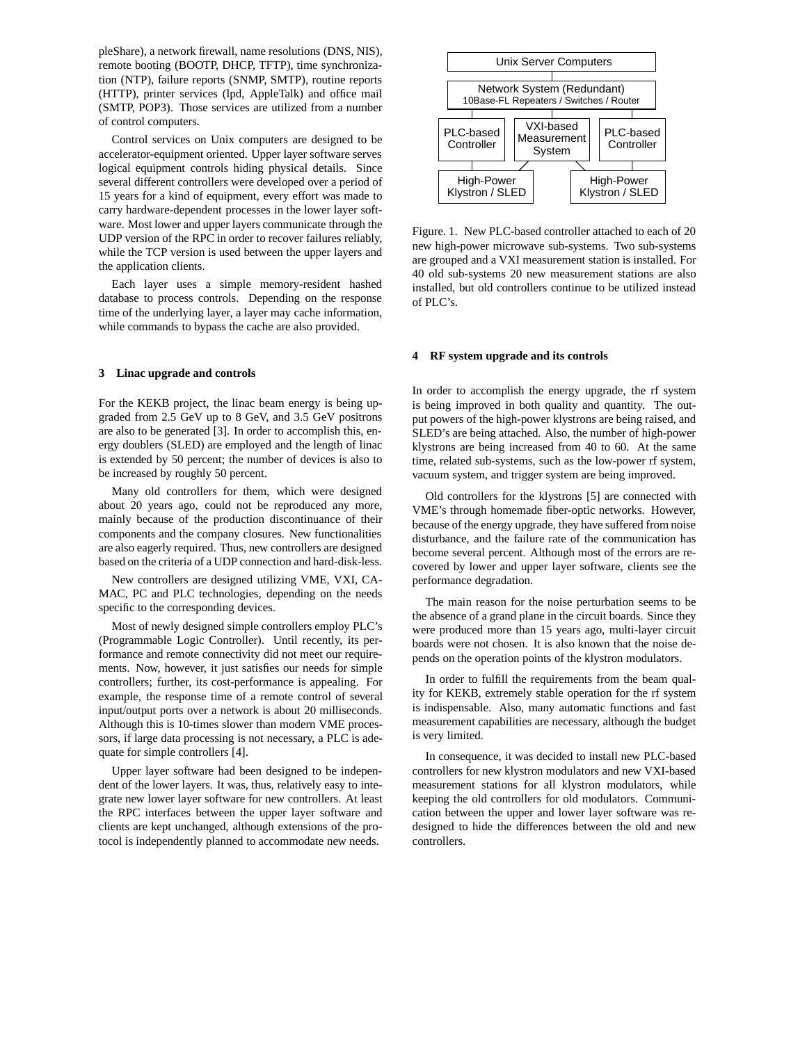pleShare), a network firewall, name resolutions (DNS, NIS), remote booting (BOOTP, DHCP, TFTP), time synchronization (NTP), failure reports (SNMP, SMTP), routine reports (HTTP), printer services (lpd, AppleTalk) and office mail (SMTP, POP3). Those services are utilized from a number of control computers.

Control services on Unix computers are designed to be accelerator-equipment oriented. Upper layer software serves logical equipment controls hiding physical details. Since several different controllers were developed over a period of 15 years for a kind of equipment, every effort was made to carry hardware-dependent processes in the lower layer software. Most lower and upper layers communicate through the UDP version of the RPC in order to recover failures reliably, while the TCP version is used between the upper layers and the application clients.

Each layer uses a simple memory-resident hashed database to process controls. Depending on the response time of the underlying layer, a layer may cache information, while commands to bypass the cache are also provided.

#### **3 Linac upgrade and controls**

For the KEKB project, the linac beam energy is being upgraded from 2.5 GeV up to 8 GeV, and 3.5 GeV positrons are also to be generated [3]. In order to accomplish this, energy doublers (SLED) are employed and the length of linac is extended by 50 percent; the number of devices is also to be increased by roughly 50 percent.

Many old controllers for them, which were designed about 20 years ago, could not be reproduced any more, mainly because of the production discontinuance of their components and the company closures. New functionalities are also eagerly required. Thus, new controllers are designed based on the criteria of a UDP connection and hard-disk-less.

New controllers are designed utilizing VME, VXI, CA-MAC, PC and PLC technologies, depending on the needs specific to the corresponding devices.

Most of newly designed simple controllers employ PLC's (Programmable Logic Controller). Until recently, its performance and remote connectivity did not meet our requirements. Now, however, it just satisfies our needs for simple controllers; further, its cost-performance is appealing. For example, the response time of a remote control of several input/output ports over a network is about 20 milliseconds. Although this is 10-times slower than modern VME processors, if large data processing is not necessary, a PLC is adequate for simple controllers [4].

Upper layer software had been designed to be independent of the lower layers. It was, thus, relatively easy to integrate new lower layer software for new controllers. At least the RPC interfaces between the upper layer software and clients are kept unchanged, although extensions of the protocol is independently planned to accommodate new needs.



Figure. 1. New PLC-based controller attached to each of 20 new high-power microwave sub-systems. Two sub-systems are grouped and a VXI measurement station is installed. For 40 old sub-systems 20 new measurement stations are also installed, but old controllers continue to be utilized instead of PLC's.

## **4 RF system upgrade and its controls**

In order to accomplish the energy upgrade, the rf system is being improved in both quality and quantity. The output powers of the high-power klystrons are being raised, and SLED's are being attached. Also, the number of high-power klystrons are being increased from 40 to 60. At the same time, related sub-systems, such as the low-power rf system, vacuum system, and trigger system are being improved.

Old controllers for the klystrons [5] are connected with VME's through homemade fiber-optic networks. However, because of the energy upgrade, they have suffered from noise disturbance, and the failure rate of the communication has become several percent. Although most of the errors are recovered by lower and upper layer software, clients see the performance degradation.

The main reason for the noise perturbation seems to be the absence of a grand plane in the circuit boards. Since they were produced more than 15 years ago, multi-layer circuit boards were not chosen. It is also known that the noise depends on the operation points of the klystron modulators.

In order to fulfill the requirements from the beam quality for KEKB, extremely stable operation for the rf system is indispensable. Also, many automatic functions and fast measurement capabilities are necessary, although the budget is very limited.

In consequence, it was decided to install new PLC-based controllers for new klystron modulators and new VXI-based measurement stations for all klystron modulators, while keeping the old controllers for old modulators. Communication between the upper and lower layer software was redesigned to hide the differences between the old and new controllers.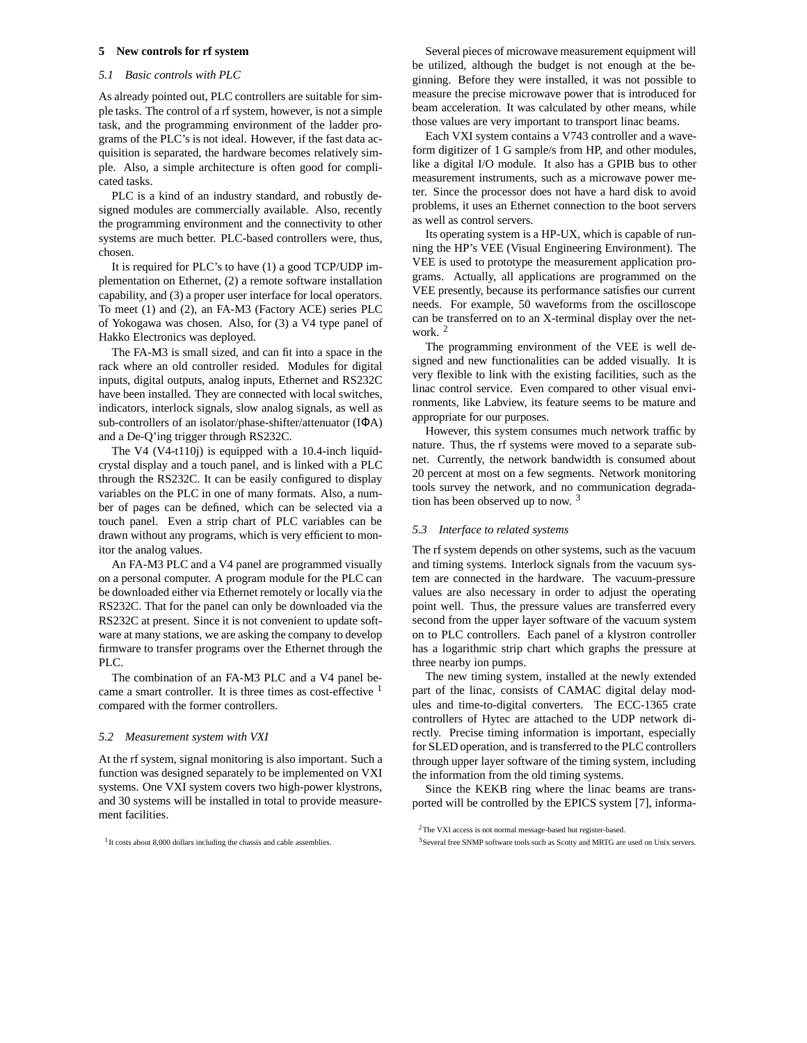## **5 New controls for rf system**

## *5.1 Basic controls with PLC*

As already pointed out, PLC controllers are suitable for simple tasks. The control of a rf system, however, is not a simple task, and the programming environment of the ladder programs of the PLC's is not ideal. However, if the fast data acquisition is separated, the hardware becomes relatively simple. Also, a simple architecture is often good for complicated tasks.

PLC is a kind of an industry standard, and robustly designed modules are commercially available. Also, recently the programming environment and the connectivity to other systems are much better. PLC-based controllers were, thus, chosen.

It is required for PLC's to have (1) a good TCP/UDP implementation on Ethernet, (2) a remote software installation capability, and (3) a proper user interface for local operators. To meet (1) and (2), an FA-M3 (Factory ACE) series PLC of Yokogawa was chosen. Also, for (3) a V4 type panel of Hakko Electronics was deployed.

The FA-M3 is small sized, and can fit into a space in the rack where an old controller resided. Modules for digital inputs, digital outputs, analog inputs, Ethernet and RS232C have been installed. They are connected with local switches, indicators, interlock signals, slow analog signals, as well as sub-controllers of an isolator/phase-shifter/attenuator (IΦA) and a De-Q'ing trigger through RS232C.

The V4 (V4-t110j) is equipped with a 10.4-inch liquidcrystal display and a touch panel, and is linked with a PLC through the RS232C. It can be easily configured to display variables on the PLC in one of many formats. Also, a number of pages can be defined, which can be selected via a touch panel. Even a strip chart of PLC variables can be drawn without any programs, which is very efficient to monitor the analog values.

An FA-M3 PLC and a V4 panel are programmed visually on a personal computer. A program module for the PLC can be downloaded either via Ethernet remotely or locally via the RS232C. That for the panel can only be downloaded via the RS232C at present. Since it is not convenient to update software at many stations, we are asking the company to develop firmware to transfer programs over the Ethernet through the PLC.

The combination of an FA-M3 PLC and a V4 panel became a smart controller. It is three times as cost-effective <sup>1</sup> compared with the former controllers.

## *5.2 Measurement system with VXI*

At the rf system, signal monitoring is also important. Such a function was designed separately to be implemented on VXI systems. One VXI system covers two high-power klystrons, and 30 systems will be installed in total to provide measurement facilities.

Several pieces of microwave measurement equipment will be utilized, although the budget is not enough at the beginning. Before they were installed, it was not possible to measure the precise microwave power that is introduced for beam acceleration. It was calculated by other means, while those values are very important to transport linac beams.

Each VXI system contains a V743 controller and a waveform digitizer of 1 G sample/s from HP, and other modules, like a digital I/O module. It also has a GPIB bus to other measurement instruments, such as a microwave power meter. Since the processor does not have a hard disk to avoid problems, it uses an Ethernet connection to the boot servers as well as control servers.

Its operating system is a HP-UX, which is capable of running the HP's VEE (Visual Engineering Environment). The VEE is used to prototype the measurement application programs. Actually, all applications are programmed on the VEE presently, because its performance satisfies our current needs. For example, 50 waveforms from the oscilloscope can be transferred on to an X-terminal display over the network. <sup>2</sup>

The programming environment of the VEE is well designed and new functionalities can be added visually. It is very flexible to link with the existing facilities, such as the linac control service. Even compared to other visual environments, like Labview, its feature seems to be mature and appropriate for our purposes.

However, this system consumes much network traffic by nature. Thus, the rf systems were moved to a separate subnet. Currently, the network bandwidth is consumed about 20 percent at most on a few segments. Network monitoring tools survey the network, and no communication degradation has been observed up to now. <sup>3</sup>

#### *5.3 Interface to related systems*

The rf system depends on other systems, such as the vacuum and timing systems. Interlock signals from the vacuum system are connected in the hardware. The vacuum-pressure values are also necessary in order to adjust the operating point well. Thus, the pressure values are transferred every second from the upper layer software of the vacuum system on to PLC controllers. Each panel of a klystron controller has a logarithmic strip chart which graphs the pressure at three nearby ion pumps.

The new timing system, installed at the newly extended part of the linac, consists of CAMAC digital delay modules and time-to-digital converters. The ECC-1365 crate controllers of Hytec are attached to the UDP network directly. Precise timing information is important, especially for SLED operation, and is transferred to the PLC controllers through upper layer software of the timing system, including the information from the old timing systems.

Since the KEKB ring where the linac beams are transported will be controlled by the EPICS system [7], informa-

3Several free SNMP software tools such as Scotty and MRTG are used on Unix servers.

<sup>&</sup>lt;sup>1</sup> It costs about 8,000 dollars including the chassis and cable assemblies.

<sup>2</sup>The VXI access is not normal message-based but register-based.